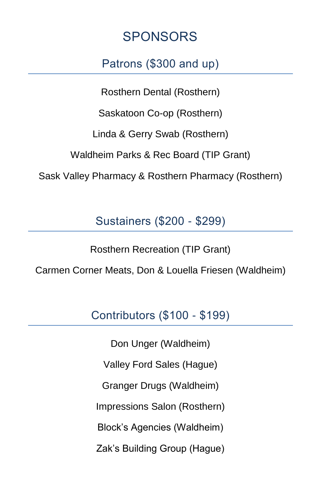# SPONSORS

## Patrons (\$300 and up)

Rosthern Dental (Rosthern)

Saskatoon Co-op (Rosthern)

Linda & Gerry Swab (Rosthern)

Waldheim Parks & Rec Board (TIP Grant)

Sask Valley Pharmacy & Rosthern Pharmacy (Rosthern)

Sustainers (\$200 - \$299)

Rosthern Recreation (TIP Grant)

Carmen Corner Meats, Don & Louella Friesen (Waldheim)

Contributors (\$100 - \$199)

Don Unger (Waldheim) Valley Ford Sales (Hague) Granger Drugs (Waldheim) Impressions Salon (Rosthern) Block's Agencies (Waldheim) Zak's Building Group (Hague)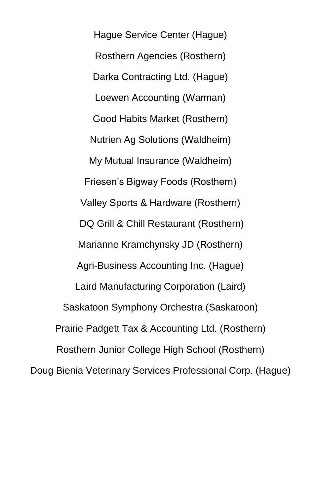Hague Service Center (Hague) Rosthern Agencies (Rosthern) Darka Contracting Ltd. (Hague) Loewen Accounting (Warman) Good Habits Market (Rosthern) Nutrien Ag Solutions (Waldheim) My Mutual Insurance (Waldheim) Friesen's Bigway Foods (Rosthern) Valley Sports & Hardware (Rosthern) DQ Grill & Chill Restaurant (Rosthern) Marianne Kramchynsky JD (Rosthern) Agri-Business Accounting Inc. (Hague) Laird Manufacturing Corporation (Laird) Saskatoon Symphony Orchestra (Saskatoon) Prairie Padgett Tax & Accounting Ltd. (Rosthern) Rosthern Junior College High School (Rosthern) Doug Bienia Veterinary Services Professional Corp. (Hague)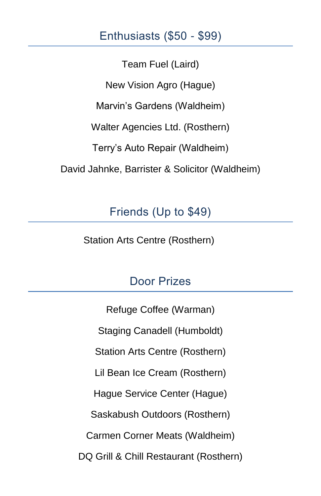#### Enthusiasts (\$50 - \$99)

Team Fuel (Laird) New Vision Agro (Hague) Marvin's Gardens (Waldheim) Walter Agencies Ltd. (Rosthern) Terry's Auto Repair (Waldheim) David Jahnke, Barrister & Solicitor (Waldheim)

## Friends (Up to \$49)

Station Arts Centre (Rosthern)

### Door Prizes

Refuge Coffee (Warman) Staging Canadell (Humboldt) Station Arts Centre (Rosthern) Lil Bean Ice Cream (Rosthern) Hague Service Center (Hague) Saskabush Outdoors (Rosthern) Carmen Corner Meats (Waldheim) DQ Grill & Chill Restaurant (Rosthern)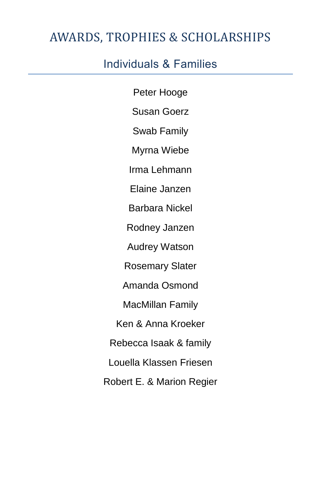# AWARDS, TROPHIES & SCHOLARSHIPS

## Individuals & Families

Peter Hooge Susan Goerz Swab Family Myrna Wiebe Irma Lehmann Elaine Janzen Barbara Nickel Rodney Janzen Audrey Watson Rosemary Slater Amanda Osmond MacMillan Family Ken & Anna Kroeker Rebecca Isaak & family Louella Klassen Friesen Robert E. & Marion Regier